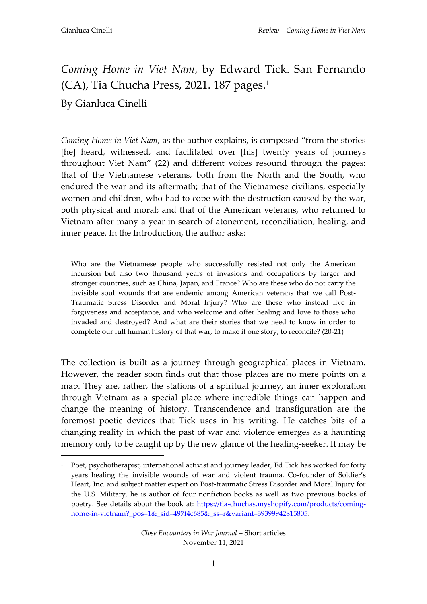1

## *Coming Home in Viet Nam*, by Edward Tick. San Fernando (CA), Tia Chucha Press, 2021. 187 pages.<sup>1</sup>

## By Gianluca Cinelli

*Coming Home in Viet Nam*, as the author explains, is composed "from the stories [he] heard, witnessed, and facilitated over [his] twenty years of journeys throughout Viet Nam" (22) and different voices resound through the pages: that of the Vietnamese veterans, both from the North and the South, who endured the war and its aftermath; that of the Vietnamese civilians, especially women and children, who had to cope with the destruction caused by the war, both physical and moral; and that of the American veterans, who returned to Vietnam after many a year in search of atonement, reconciliation, healing, and inner peace. In the Introduction, the author asks:

Who are the Vietnamese people who successfully resisted not only the American incursion but also two thousand years of invasions and occupations by larger and stronger countries, such as China, Japan, and France? Who are these who do not carry the invisible soul wounds that are endemic among American veterans that we call Post-Traumatic Stress Disorder and Moral Injury? Who are these who instead live in forgiveness and acceptance, and who welcome and offer healing and love to those who invaded and destroyed? And what are their stories that we need to know in order to complete our full human history of that war, to make it one story, to reconcile? (20-21)

The collection is built as a journey through geographical places in Vietnam. However, the reader soon finds out that those places are no mere points on a map. They are, rather, the stations of a spiritual journey, an inner exploration through Vietnam as a special place where incredible things can happen and change the meaning of history. Transcendence and transfiguration are the foremost poetic devices that Tick uses in his writing. He catches bits of a changing reality in which the past of war and violence emerges as a haunting memory only to be caught up by the new glance of the healing-seeker. It may be

<sup>&</sup>lt;sup>1</sup> Poet, psychotherapist, international activist and journey leader, Ed Tick has worked for forty years healing the invisible wounds of war and violent trauma. Co-founder of Soldier's Heart, Inc. and subject matter expert on Post-traumatic Stress Disorder and Moral Injury for the U.S. Military, he is author of four nonfiction books as well as two previous books of poetry. See details about the book at: [https://tia-chuchas.myshopify.com/products/coming](https://tia-chuchas.myshopify.com/products/coming-home-in-vietnam?_pos=1&_sid=497f4c685&_ss=r&variant=39399942815805)home-in-vietnam? pos=1&\_sid=497f4c685&\_ss=r&variant=39399942815805.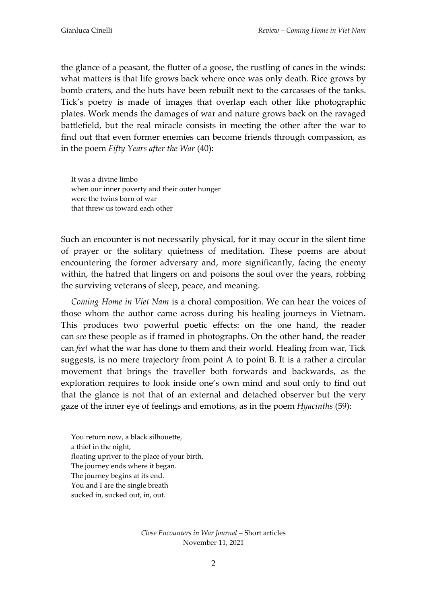the glance of a peasant, the flutter of a goose, the rustling of canes in the winds: what matters is that life grows back where once was only death. Rice grows by bomb craters, and the huts have been rebuilt next to the carcasses of the tanks. Tick's poetry is made of images that overlap each other like photographic plates. Work mends the damages of war and nature grows back on the ravaged battlefield, but the real miracle consists in meeting the other after the war to find out that even former enemies can become friends through compassion, as in the poem *Fifty Years after the War* (40):

It was a divine limbo when our inner poverty and their outer hunger were the twins born of war that threw us toward each other

Such an encounter is not necessarily physical, for it may occur in the silent time of prayer or the solitary quietness of meditation. These poems are about encountering the former adversary and, more significantly, facing the enemy within, the hatred that lingers on and poisons the soul over the years, robbing the surviving veterans of sleep, peace, and meaning.

*Coming Home in Viet Nam* is a choral composition. We can hear the voices of those whom the author came across during his healing journeys in Vietnam. This produces two powerful poetic effects: on the one hand, the reader can *see* these people as if framed in photographs. On the other hand, the reader can *feel* what the war has done to them and their world. Healing from war, Tick suggests, is no mere trajectory from point A to point B. It is a rather a circular movement that brings the traveller both forwards and backwards, as the exploration requires to look inside one's own mind and soul only to find out that the glance is not that of an external and detached observer but the very gaze of the inner eye of feelings and emotions, as in the poem *Hyacinths* (59):

You return now, a black silhouette, a thief in the night, floating upriver to the place of your birth. The journey ends where it began. The journey begins at its end. You and I are the single breath sucked in, sucked out, in, out.

> *Close Encounters in War Journal* – Short articles November 11, 2021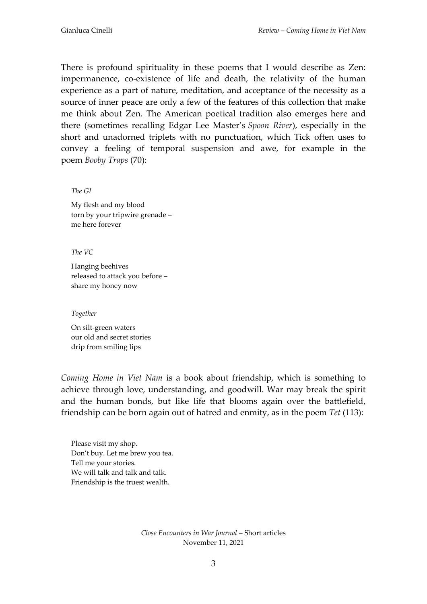There is profound spirituality in these poems that I would describe as Zen: impermanence, co-existence of life and death, the relativity of the human experience as a part of nature, meditation, and acceptance of the necessity as a source of inner peace are only a few of the features of this collection that make me think about Zen. The American poetical tradition also emerges here and there (sometimes recalling Edgar Lee Master's *Spoon River*), especially in the short and unadorned triplets with no punctuation, which Tick often uses to convey a feeling of temporal suspension and awe, for example in the poem *Booby Traps* (70):

*The GI* 

My flesh and my blood torn by your tripwire grenade – me here forever

*The VC* 

Hanging beehives released to attack you before – share my honey now

## *Together*

On silt-green waters our old and secret stories drip from smiling lips

*Coming Home in Viet Nam* is a book about friendship, which is something to achieve through love, understanding, and goodwill. War may break the spirit and the human bonds, but like life that blooms again over the battlefield, friendship can be born again out of hatred and enmity, as in the poem *Tet* (113):

Please visit my shop. Don't buy. Let me brew you tea. Tell me your stories. We will talk and talk and talk. Friendship is the truest wealth.

> *Close Encounters in War Journal* – Short articles November 11, 2021